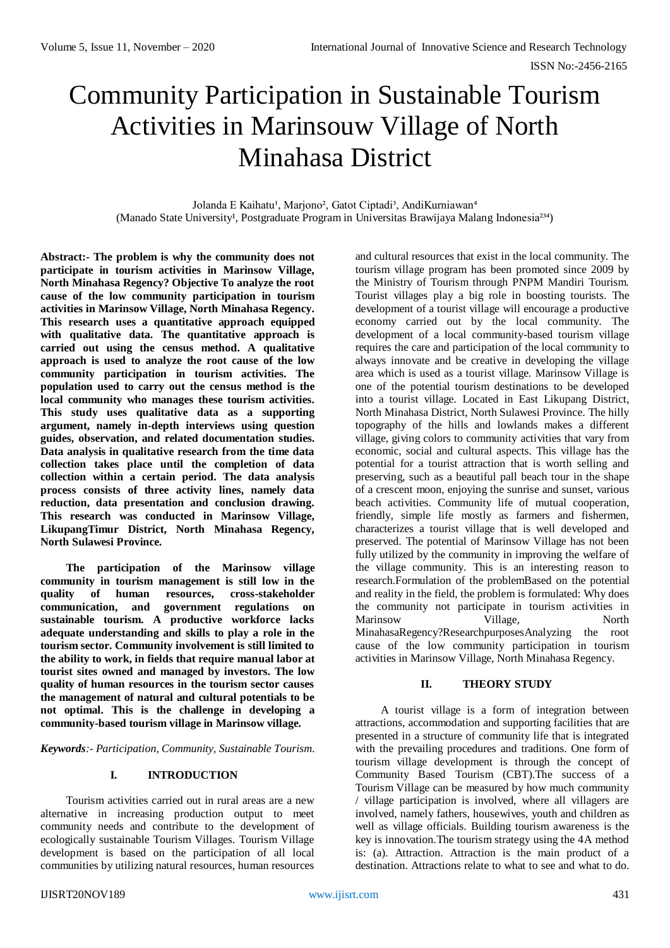# Community Participation in Sustainable Tourism Activities in Marinsouw Village of North Minahasa District

Jolanda E Kaihatu<sup>1</sup>, Marjono<sup>2</sup>, Gatot Ciptadi<sup>3</sup>, AndiKurniawan<sup>4</sup> (Manado State University<sup>1</sup>, Postgraduate Program in Universitas Brawijaya Malang Indonesia<sup>234</sup>)

**Abstract:- The problem is why the community does not participate in tourism activities in Marinsow Village, North Minahasa Regency? Objective To analyze the root cause of the low community participation in tourism activities in Marinsow Village, North Minahasa Regency. This research uses a quantitative approach equipped with qualitative data. The quantitative approach is carried out using the census method. A qualitative approach is used to analyze the root cause of the low community participation in tourism activities. The population used to carry out the census method is the local community who manages these tourism activities. This study uses qualitative data as a supporting argument, namely in-depth interviews using question guides, observation, and related documentation studies. Data analysis in qualitative research from the time data collection takes place until the completion of data collection within a certain period. The data analysis process consists of three activity lines, namely data reduction, data presentation and conclusion drawing. This research was conducted in Marinsow Village, LikupangTimur District, North Minahasa Regency, North Sulawesi Province.**

**The participation of the Marinsow village community in tourism management is still low in the quality of human resources, cross-stakeholder communication, and government regulations on sustainable tourism. A productive workforce lacks adequate understanding and skills to play a role in the tourism sector. Community involvement is still limited to the ability to work, in fields that require manual labor at tourist sites owned and managed by investors. The low quality of human resources in the tourism sector causes the management of natural and cultural potentials to be not optimal. This is the challenge in developing a community-based tourism village in Marinsow village.**

*Keywords:- Participation, Community, Sustainable Tourism.*

## **I. INTRODUCTION**

Tourism activities carried out in rural areas are a new alternative in increasing production output to meet community needs and contribute to the development of ecologically sustainable Tourism Villages. Tourism Village development is based on the participation of all local communities by utilizing natural resources, human resources

and cultural resources that exist in the local community. The tourism village program has been promoted since 2009 by the Ministry of Tourism through PNPM Mandiri Tourism. Tourist villages play a big role in boosting tourists. The development of a tourist village will encourage a productive economy carried out by the local community. The development of a local community-based tourism village requires the care and participation of the local community to always innovate and be creative in developing the village area which is used as a tourist village. Marinsow Village is one of the potential tourism destinations to be developed into a tourist village. Located in East Likupang District, North Minahasa District, North Sulawesi Province. The hilly topography of the hills and lowlands makes a different village, giving colors to community activities that vary from economic, social and cultural aspects. This village has the potential for a tourist attraction that is worth selling and preserving, such as a beautiful pall beach tour in the shape of a crescent moon, enjoying the sunrise and sunset, various beach activities. Community life of mutual cooperation, friendly, simple life mostly as farmers and fishermen, characterizes a tourist village that is well developed and preserved. The potential of Marinsow Village has not been fully utilized by the community in improving the welfare of the village community. This is an interesting reason to research.Formulation of the problemBased on the potential and reality in the field, the problem is formulated: Why does the community not participate in tourism activities in Marinsow Village, North MinahasaRegency?ResearchpurposesAnalyzing the root cause of the low community participation in tourism activities in Marinsow Village, North Minahasa Regency.

# **II. THEORY STUDY**

A tourist village is a form of integration between attractions, accommodation and supporting facilities that are presented in a structure of community life that is integrated with the prevailing procedures and traditions. One form of tourism village development is through the concept of Community Based Tourism (CBT).The success of a Tourism Village can be measured by how much community / village participation is involved, where all villagers are involved, namely fathers, housewives, youth and children as well as village officials. Building tourism awareness is the key is innovation.The tourism strategy using the 4A method is: (a). Attraction. Attraction is the main product of a destination. Attractions relate to what to see and what to do.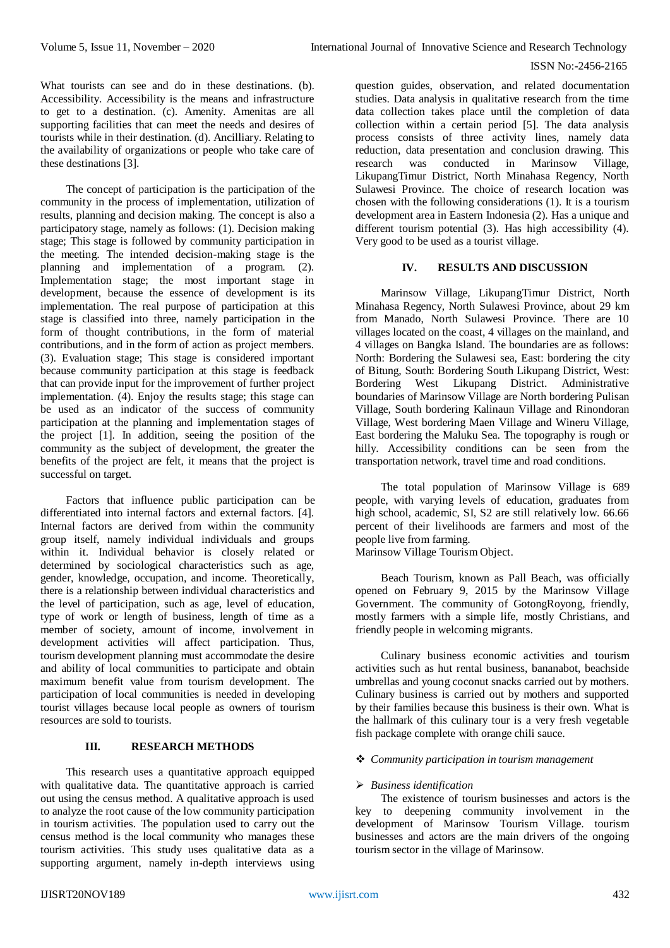What tourists can see and do in these destinations. (b). Accessibility. Accessibility is the means and infrastructure to get to a destination. (c). Amenity. Amenitas are all supporting facilities that can meet the needs and desires of tourists while in their destination. (d). Ancilliary. Relating to the availability of organizations or people who take care of these destinations [3].

The concept of participation is the participation of the community in the process of implementation, utilization of results, planning and decision making. The concept is also a participatory stage, namely as follows: (1). Decision making stage; This stage is followed by community participation in the meeting. The intended decision-making stage is the planning and implementation of a program. (2). Implementation stage; the most important stage in development, because the essence of development is its implementation. The real purpose of participation at this stage is classified into three, namely participation in the form of thought contributions, in the form of material contributions, and in the form of action as project members. (3). Evaluation stage; This stage is considered important because community participation at this stage is feedback that can provide input for the improvement of further project implementation. (4). Enjoy the results stage; this stage can be used as an indicator of the success of community participation at the planning and implementation stages of the project [1]. In addition, seeing the position of the community as the subject of development, the greater the benefits of the project are felt, it means that the project is successful on target.

Factors that influence public participation can be differentiated into internal factors and external factors. [4]. Internal factors are derived from within the community group itself, namely individual individuals and groups within it. Individual behavior is closely related or determined by sociological characteristics such as age, gender, knowledge, occupation, and income. Theoretically, there is a relationship between individual characteristics and the level of participation, such as age, level of education, type of work or length of business, length of time as a member of society, amount of income, involvement in development activities will affect participation. Thus, tourism development planning must accommodate the desire and ability of local communities to participate and obtain maximum benefit value from tourism development. The participation of local communities is needed in developing tourist villages because local people as owners of tourism resources are sold to tourists.

# **III. RESEARCH METHODS**

This research uses a quantitative approach equipped with qualitative data. The quantitative approach is carried out using the census method. A qualitative approach is used to analyze the root cause of the low community participation in tourism activities. The population used to carry out the census method is the local community who manages these tourism activities. This study uses qualitative data as a supporting argument, namely in-depth interviews using

question guides, observation, and related documentation studies. Data analysis in qualitative research from the time data collection takes place until the completion of data collection within a certain period [5]. The data analysis process consists of three activity lines, namely data reduction, data presentation and conclusion drawing. This research was conducted in Marinsow Village, LikupangTimur District, North Minahasa Regency, North Sulawesi Province. The choice of research location was chosen with the following considerations (1). It is a tourism development area in Eastern Indonesia (2). Has a unique and different tourism potential (3). Has high accessibility (4). Very good to be used as a tourist village.

# **IV. RESULTS AND DISCUSSION**

Marinsow Village, LikupangTimur District, North Minahasa Regency, North Sulawesi Province, about 29 km from Manado, North Sulawesi Province. There are 10 villages located on the coast, 4 villages on the mainland, and 4 villages on Bangka Island. The boundaries are as follows: North: Bordering the Sulawesi sea, East: bordering the city of Bitung, South: Bordering South Likupang District, West: Bordering West Likupang District. Administrative boundaries of Marinsow Village are North bordering Pulisan Village, South bordering Kalinaun Village and Rinondoran Village, West bordering Maen Village and Wineru Village, East bordering the Maluku Sea. The topography is rough or hilly. Accessibility conditions can be seen from the transportation network, travel time and road conditions.

The total population of Marinsow Village is 689 people, with varying levels of education, graduates from high school, academic, SI, S2 are still relatively low. 66.66 percent of their livelihoods are farmers and most of the people live from farming.

Marinsow Village Tourism Object.

Beach Tourism, known as Pall Beach, was officially opened on February 9, 2015 by the Marinsow Village Government. The community of GotongRoyong, friendly, mostly farmers with a simple life, mostly Christians, and friendly people in welcoming migrants.

Culinary business economic activities and tourism activities such as hut rental business, bananabot, beachside umbrellas and young coconut snacks carried out by mothers. Culinary business is carried out by mothers and supported by their families because this business is their own. What is the hallmark of this culinary tour is a very fresh vegetable fish package complete with orange chili sauce.

### *Community participation in tourism management*

## *Business identification*

The existence of tourism businesses and actors is the key to deepening community involvement in the development of Marinsow Tourism Village. tourism businesses and actors are the main drivers of the ongoing tourism sector in the village of Marinsow.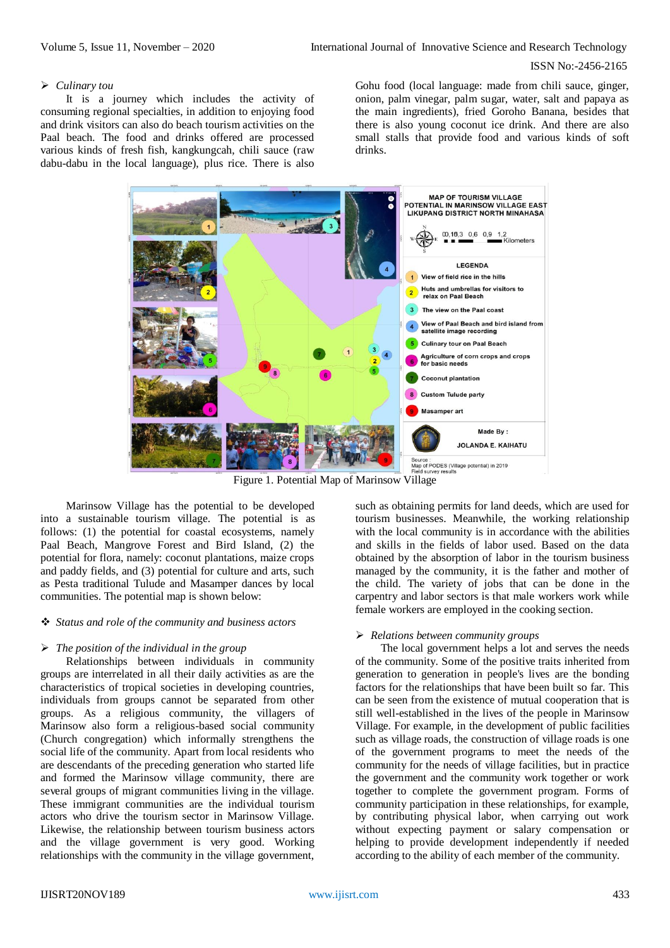#### *Culinary tou*

It is a journey which includes the activity of consuming regional specialties, in addition to enjoying food and drink visitors can also do beach tourism activities on the Paal beach. The food and drinks offered are processed various kinds of fresh fish, kangkungcah, chili sauce (raw dabu-dabu in the local language), plus rice. There is also

Gohu food (local language: made from chili sauce, ginger, onion, palm vinegar, palm sugar, water, salt and papaya as the main ingredients), fried Goroho Banana, besides that there is also young coconut ice drink. And there are also small stalls that provide food and various kinds of soft drinks.



Marinsow Village has the potential to be developed into a sustainable tourism village. The potential is as follows: (1) the potential for coastal ecosystems, namely Paal Beach, Mangrove Forest and Bird Island, (2) the potential for flora, namely: coconut plantations, maize crops and paddy fields, and (3) potential for culture and arts, such as Pesta traditional Tulude and Masamper dances by local communities. The potential map is shown below:

## *Status and role of the community and business actors*

## *The position of the individual in the group*

Relationships between individuals in community groups are interrelated in all their daily activities as are the characteristics of tropical societies in developing countries, individuals from groups cannot be separated from other groups. As a religious community, the villagers of Marinsow also form a religious-based social community (Church congregation) which informally strengthens the social life of the community. Apart from local residents who are descendants of the preceding generation who started life and formed the Marinsow village community, there are several groups of migrant communities living in the village. These immigrant communities are the individual tourism actors who drive the tourism sector in Marinsow Village. Likewise, the relationship between tourism business actors and the village government is very good. Working relationships with the community in the village government,

such as obtaining permits for land deeds, which are used for tourism businesses. Meanwhile, the working relationship with the local community is in accordance with the abilities and skills in the fields of labor used. Based on the data obtained by the absorption of labor in the tourism business managed by the community, it is the father and mother of the child. The variety of jobs that can be done in the carpentry and labor sectors is that male workers work while female workers are employed in the cooking section.

#### *Relations between community groups*

The local government helps a lot and serves the needs of the community. Some of the positive traits inherited from generation to generation in people's lives are the bonding factors for the relationships that have been built so far. This can be seen from the existence of mutual cooperation that is still well-established in the lives of the people in Marinsow Village. For example, in the development of public facilities such as village roads, the construction of village roads is one of the government programs to meet the needs of the community for the needs of village facilities, but in practice the government and the community work together or work together to complete the government program. Forms of community participation in these relationships, for example, by contributing physical labor, when carrying out work without expecting payment or salary compensation or helping to provide development independently if needed according to the ability of each member of the community.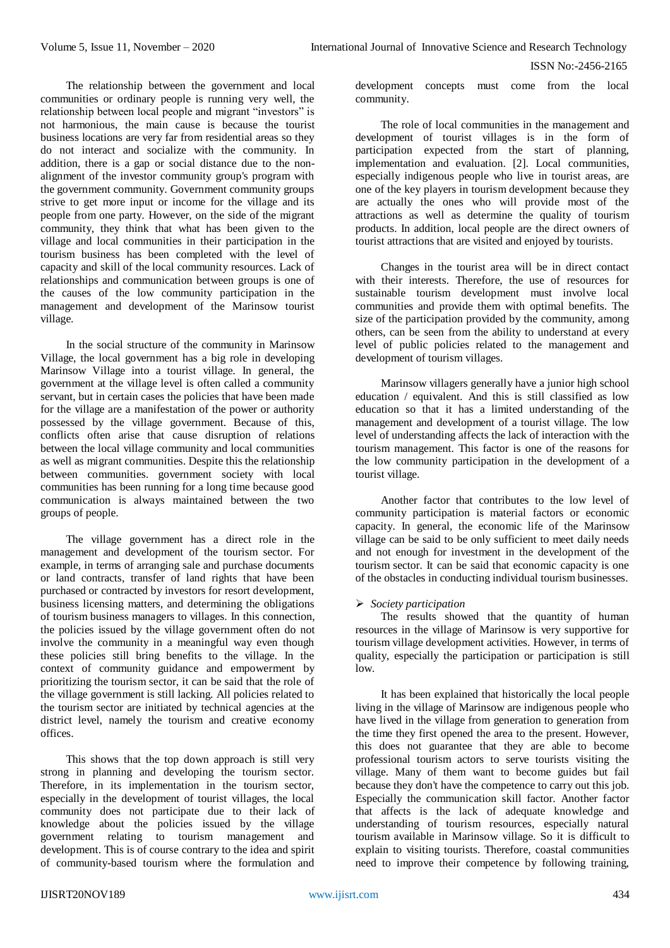The relationship between the government and local communities or ordinary people is running very well, the relationship between local people and migrant "investors" is not harmonious, the main cause is because the tourist business locations are very far from residential areas so they do not interact and socialize with the community. In addition, there is a gap or social distance due to the nonalignment of the investor community group's program with the government community. Government community groups strive to get more input or income for the village and its people from one party. However, on the side of the migrant community, they think that what has been given to the village and local communities in their participation in the tourism business has been completed with the level of capacity and skill of the local community resources. Lack of relationships and communication between groups is one of the causes of the low community participation in the management and development of the Marinsow tourist village.

In the social structure of the community in Marinsow Village, the local government has a big role in developing Marinsow Village into a tourist village. In general, the government at the village level is often called a community servant, but in certain cases the policies that have been made for the village are a manifestation of the power or authority possessed by the village government. Because of this, conflicts often arise that cause disruption of relations between the local village community and local communities as well as migrant communities. Despite this the relationship between communities. government society with local communities has been running for a long time because good communication is always maintained between the two groups of people.

The village government has a direct role in the management and development of the tourism sector. For example, in terms of arranging sale and purchase documents or land contracts, transfer of land rights that have been purchased or contracted by investors for resort development, business licensing matters, and determining the obligations of tourism business managers to villages. In this connection, the policies issued by the village government often do not involve the community in a meaningful way even though these policies still bring benefits to the village. In the context of community guidance and empowerment by prioritizing the tourism sector, it can be said that the role of the village government is still lacking. All policies related to the tourism sector are initiated by technical agencies at the district level, namely the tourism and creative economy offices.

This shows that the top down approach is still very strong in planning and developing the tourism sector. Therefore, in its implementation in the tourism sector, especially in the development of tourist villages, the local community does not participate due to their lack of knowledge about the policies issued by the village government relating to tourism management and development. This is of course contrary to the idea and spirit of community-based tourism where the formulation and

development concepts must come from the local community.

The role of local communities in the management and development of tourist villages is in the form of participation expected from the start of planning, implementation and evaluation. [2]. Local communities, especially indigenous people who live in tourist areas, are one of the key players in tourism development because they are actually the ones who will provide most of the attractions as well as determine the quality of tourism products. In addition, local people are the direct owners of tourist attractions that are visited and enjoyed by tourists.

Changes in the tourist area will be in direct contact with their interests. Therefore, the use of resources for sustainable tourism development must involve local communities and provide them with optimal benefits. The size of the participation provided by the community, among others, can be seen from the ability to understand at every level of public policies related to the management and development of tourism villages.

Marinsow villagers generally have a junior high school education / equivalent. And this is still classified as low education so that it has a limited understanding of the management and development of a tourist village. The low level of understanding affects the lack of interaction with the tourism management. This factor is one of the reasons for the low community participation in the development of a tourist village.

Another factor that contributes to the low level of community participation is material factors or economic capacity. In general, the economic life of the Marinsow village can be said to be only sufficient to meet daily needs and not enough for investment in the development of the tourism sector. It can be said that economic capacity is one of the obstacles in conducting individual tourism businesses.

## *Society participation*

The results showed that the quantity of human resources in the village of Marinsow is very supportive for tourism village development activities. However, in terms of quality, especially the participation or participation is still  $\log$ 

It has been explained that historically the local people living in the village of Marinsow are indigenous people who have lived in the village from generation to generation from the time they first opened the area to the present. However, this does not guarantee that they are able to become professional tourism actors to serve tourists visiting the village. Many of them want to become guides but fail because they don't have the competence to carry out this job. Especially the communication skill factor. Another factor that affects is the lack of adequate knowledge and understanding of tourism resources, especially natural tourism available in Marinsow village. So it is difficult to explain to visiting tourists. Therefore, coastal communities need to improve their competence by following training,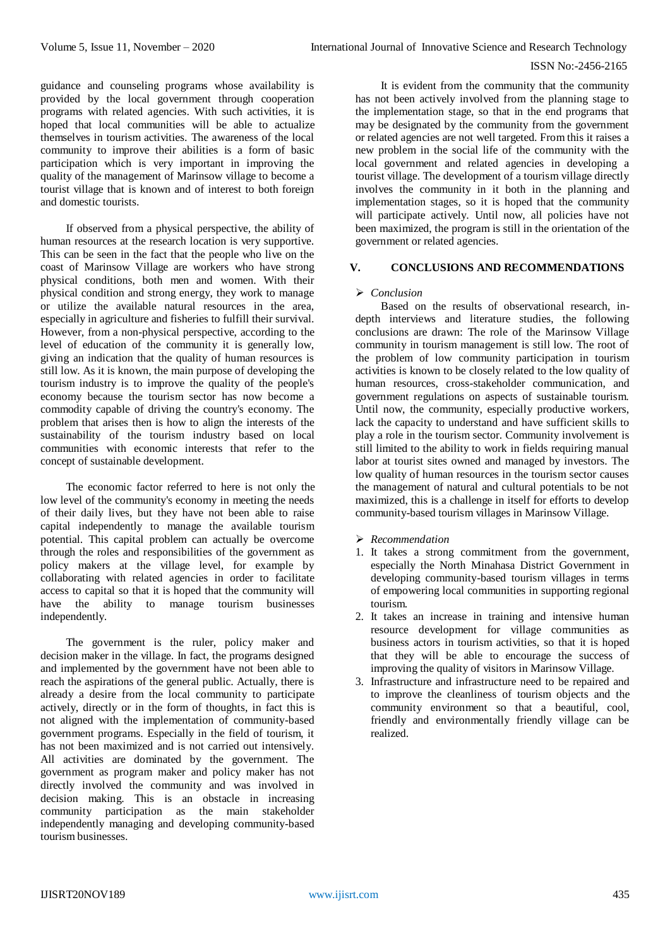guidance and counseling programs whose availability is provided by the local government through cooperation programs with related agencies. With such activities, it is hoped that local communities will be able to actualize themselves in tourism activities. The awareness of the local community to improve their abilities is a form of basic participation which is very important in improving the quality of the management of Marinsow village to become a tourist village that is known and of interest to both foreign and domestic tourists.

If observed from a physical perspective, the ability of human resources at the research location is very supportive. This can be seen in the fact that the people who live on the coast of Marinsow Village are workers who have strong physical conditions, both men and women. With their physical condition and strong energy, they work to manage or utilize the available natural resources in the area, especially in agriculture and fisheries to fulfill their survival. However, from a non-physical perspective, according to the level of education of the community it is generally low, giving an indication that the quality of human resources is still low. As it is known, the main purpose of developing the tourism industry is to improve the quality of the people's economy because the tourism sector has now become a commodity capable of driving the country's economy. The problem that arises then is how to align the interests of the sustainability of the tourism industry based on local communities with economic interests that refer to the concept of sustainable development.

The economic factor referred to here is not only the low level of the community's economy in meeting the needs of their daily lives, but they have not been able to raise capital independently to manage the available tourism potential. This capital problem can actually be overcome through the roles and responsibilities of the government as policy makers at the village level, for example by collaborating with related agencies in order to facilitate access to capital so that it is hoped that the community will have the ability to manage tourism businesses independently.

The government is the ruler, policy maker and decision maker in the village. In fact, the programs designed and implemented by the government have not been able to reach the aspirations of the general public. Actually, there is already a desire from the local community to participate actively, directly or in the form of thoughts, in fact this is not aligned with the implementation of community-based government programs. Especially in the field of tourism, it has not been maximized and is not carried out intensively. All activities are dominated by the government. The government as program maker and policy maker has not directly involved the community and was involved in decision making. This is an obstacle in increasing community participation as the main stakeholder independently managing and developing community-based tourism businesses.

It is evident from the community that the community has not been actively involved from the planning stage to the implementation stage, so that in the end programs that may be designated by the community from the government or related agencies are not well targeted. From this it raises a new problem in the social life of the community with the local government and related agencies in developing a tourist village. The development of a tourism village directly involves the community in it both in the planning and implementation stages, so it is hoped that the community will participate actively. Until now, all policies have not been maximized, the program is still in the orientation of the government or related agencies.

# **V. CONCLUSIONS AND RECOMMENDATIONS**

# *Conclusion*

Based on the results of observational research, indepth interviews and literature studies, the following conclusions are drawn: The role of the Marinsow Village community in tourism management is still low. The root of the problem of low community participation in tourism activities is known to be closely related to the low quality of human resources, cross-stakeholder communication, and government regulations on aspects of sustainable tourism. Until now, the community, especially productive workers, lack the capacity to understand and have sufficient skills to play a role in the tourism sector. Community involvement is still limited to the ability to work in fields requiring manual labor at tourist sites owned and managed by investors. The low quality of human resources in the tourism sector causes the management of natural and cultural potentials to be not maximized, this is a challenge in itself for efforts to develop community-based tourism villages in Marinsow Village.

- *Recommendation*
- 1. It takes a strong commitment from the government, especially the North Minahasa District Government in developing community-based tourism villages in terms of empowering local communities in supporting regional tourism.
- 2. It takes an increase in training and intensive human resource development for village communities as business actors in tourism activities, so that it is hoped that they will be able to encourage the success of improving the quality of visitors in Marinsow Village.
- 3. Infrastructure and infrastructure need to be repaired and to improve the cleanliness of tourism objects and the community environment so that a beautiful, cool, friendly and environmentally friendly village can be realized.